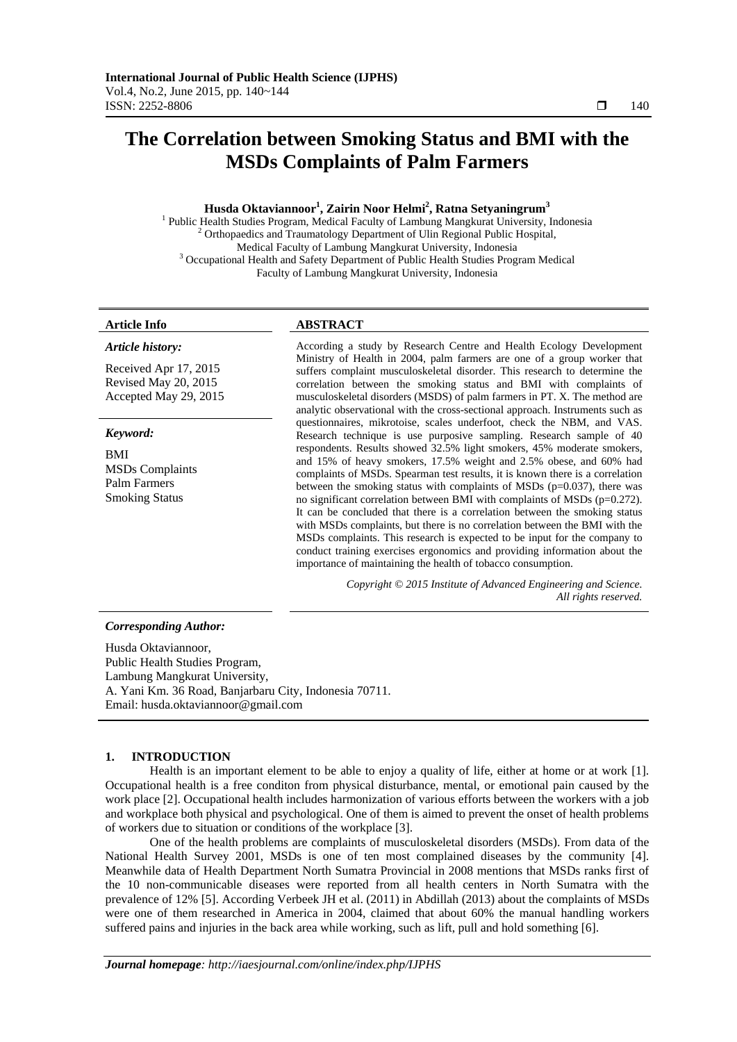# **The Correlation between Smoking Status and BMI with the MSDs Complaints of Palm Farmers**

# **Husda Oktaviannoor1 , Zairin Noor Helmi2 , Ratna Setyaningrum<sup>3</sup>**

<sup>1</sup> Public Health Studies Program, Medical Faculty of Lambung Mangkurat University, Indonesia  $\frac{2}{3}$  Orthonogdias and Traumateleau Department of Ulin Beginnal Public Health  $2$  Orthopaedics and Traumatology Department of Ulin Regional Public Hospital, Medical Faculty of Lambung Mangkurat University, Indonesia<br><sup>3</sup> Occupational Health and Safety Department of Public Health Studies Program Medical Faculty of Lambung Mangkurat University, Indonesia

# **Article Info ABSTRACT**

#### *Article history:*

Received Apr 17, 2015 Revised May 20, 2015 Accepted May 29, 2015

# *Keyword:*

BMI MSDs Complaints Palm Farmers Smoking Status

According a study by Research Centre and Health Ecology Development Ministry of Health in 2004, palm farmers are one of a group worker that suffers complaint musculoskeletal disorder. This research to determine the correlation between the smoking status and BMI with complaints of musculoskeletal disorders (MSDS) of palm farmers in PT. X. The method are analytic observational with the cross-sectional approach. Instruments such as questionnaires, mikrotoise, scales underfoot, check the NBM, and VAS. Research technique is use purposive sampling. Research sample of 40 respondents. Results showed 32.5% light smokers, 45% moderate smokers, and 15% of heavy smokers, 17.5% weight and 2.5% obese, and 60% had complaints of MSDs. Spearman test results, it is known there is a correlation between the smoking status with complaints of MSDs (p=0.037), there was no significant correlation between BMI with complaints of MSDs (p=0.272). It can be concluded that there is a correlation between the smoking status with MSDs complaints, but there is no correlation between the BMI with the MSDs complaints. This research is expected to be input for the company to conduct training exercises ergonomics and providing information about the importance of maintaining the health of tobacco consumption.

> *Copyright © 2015 Institute of Advanced Engineering and Science. All rights reserved.*

# *Corresponding Author:*

Husda Oktaviannoor, Public Health Studies Program, Lambung Mangkurat University, A. Yani Km. 36 Road, Banjarbaru City, Indonesia 70711. Email: husda.oktaviannoor@gmail.com

# **1. INTRODUCTION**

Health is an important element to be able to enjoy a quality of life, either at home or at work [1]. Occupational health is a free conditon from physical disturbance, mental, or emotional pain caused by the work place [2]. Occupational health includes harmonization of various efforts between the workers with a job and workplace both physical and psychological. One of them is aimed to prevent the onset of health problems of workers due to situation or conditions of the workplace [3].

One of the health problems are complaints of musculoskeletal disorders (MSDs). From data of the National Health Survey 2001, MSDs is one of ten most complained diseases by the community [4]. Meanwhile data of Health Department North Sumatra Provincial in 2008 mentions that MSDs ranks first of the 10 non-communicable diseases were reported from all health centers in North Sumatra with the prevalence of 12% [5]. According Verbeek JH et al. (2011) in Abdillah (2013) about the complaints of MSDs were one of them researched in America in 2004, claimed that about 60% the manual handling workers suffered pains and injuries in the back area while working, such as lift, pull and hold something [6].

ֺֺ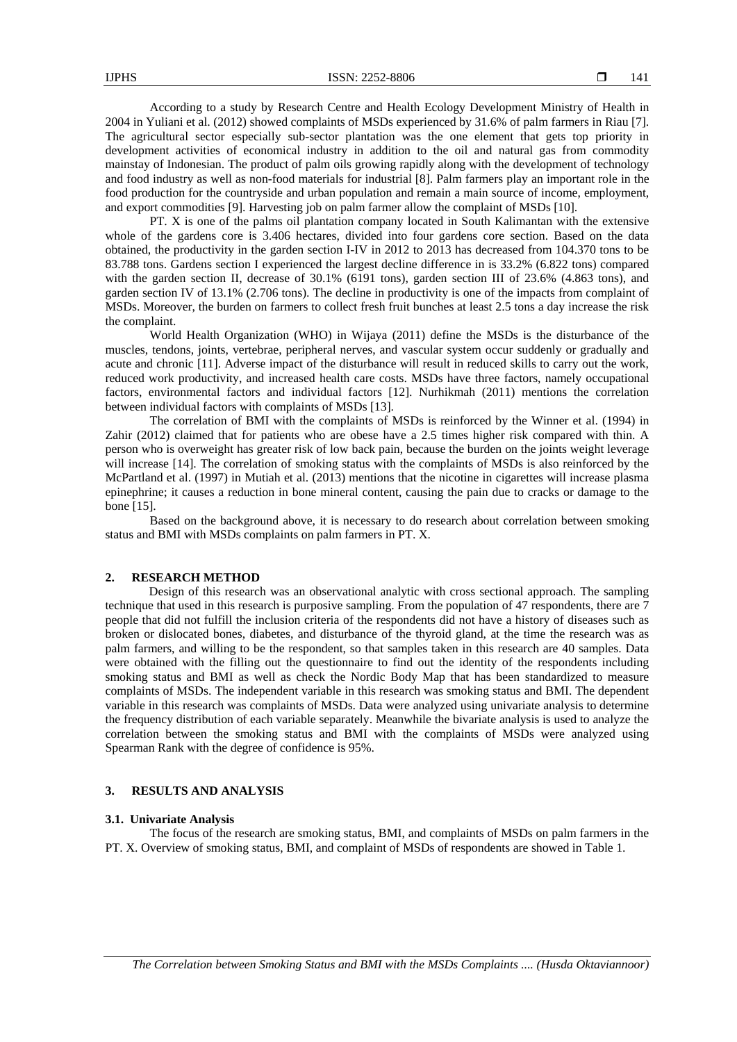According to a study by Research Centre and Health Ecology Development Ministry of Health in 2004 in Yuliani et al. (2012) showed complaints of MSDs experienced by 31.6% of palm farmers in Riau [7]. The agricultural sector especially sub-sector plantation was the one element that gets top priority in development activities of economical industry in addition to the oil and natural gas from commodity mainstay of Indonesian. The product of palm oils growing rapidly along with the development of technology and food industry as well as non-food materials for industrial [8]. Palm farmers play an important role in the food production for the countryside and urban population and remain a main source of income, employment, and export commodities [9]. Harvesting job on palm farmer allow the complaint of MSDs [10].

PT. X is one of the palms oil plantation company located in South Kalimantan with the extensive whole of the gardens core is 3.406 hectares, divided into four gardens core section. Based on the data obtained, the productivity in the garden section I-IV in 2012 to 2013 has decreased from 104.370 tons to be 83.788 tons. Gardens section I experienced the largest decline difference in is 33.2% (6.822 tons) compared with the garden section II, decrease of 30.1% (6191 tons), garden section III of 23.6% (4.863 tons), and garden section IV of 13.1% (2.706 tons). The decline in productivity is one of the impacts from complaint of MSDs. Moreover, the burden on farmers to collect fresh fruit bunches at least 2.5 tons a day increase the risk the complaint.

World Health Organization (WHO) in Wijaya (2011) define the MSDs is the disturbance of the muscles, tendons, joints, vertebrae, peripheral nerves, and vascular system occur suddenly or gradually and acute and chronic [11]. Adverse impact of the disturbance will result in reduced skills to carry out the work, reduced work productivity, and increased health care costs. MSDs have three factors, namely occupational factors, environmental factors and individual factors [12]. Nurhikmah (2011) mentions the correlation between individual factors with complaints of MSDs [13].

The correlation of BMI with the complaints of MSDs is reinforced by the Winner et al. (1994) in Zahir (2012) claimed that for patients who are obese have a 2.5 times higher risk compared with thin. A person who is overweight has greater risk of low back pain, because the burden on the joints weight leverage will increase [14]. The correlation of smoking status with the complaints of MSDs is also reinforced by the McPartland et al. (1997) in Mutiah et al. (2013) mentions that the nicotine in cigarettes will increase plasma epinephrine; it causes a reduction in bone mineral content, causing the pain due to cracks or damage to the bone [15].

Based on the background above, it is necessary to do research about correlation between smoking status and BMI with MSDs complaints on palm farmers in PT. X.

# **2. RESEARCH METHOD**

Design of this research was an observational analytic with cross sectional approach. The sampling technique that used in this research is purposive sampling. From the population of 47 respondents, there are 7 people that did not fulfill the inclusion criteria of the respondents did not have a history of diseases such as broken or dislocated bones, diabetes, and disturbance of the thyroid gland, at the time the research was as palm farmers, and willing to be the respondent, so that samples taken in this research are 40 samples. Data were obtained with the filling out the questionnaire to find out the identity of the respondents including smoking status and BMI as well as check the Nordic Body Map that has been standardized to measure complaints of MSDs. The independent variable in this research was smoking status and BMI. The dependent variable in this research was complaints of MSDs. Data were analyzed using univariate analysis to determine the frequency distribution of each variable separately. Meanwhile the bivariate analysis is used to analyze the correlation between the smoking status and BMI with the complaints of MSDs were analyzed using Spearman Rank with the degree of confidence is 95%.

# **3. RESULTS AND ANALYSIS**

#### **3.1. Univariate Analysis**

The focus of the research are smoking status, BMI, and complaints of MSDs on palm farmers in the PT. X. Overview of smoking status, BMI, and complaint of MSDs of respondents are showed in Table 1.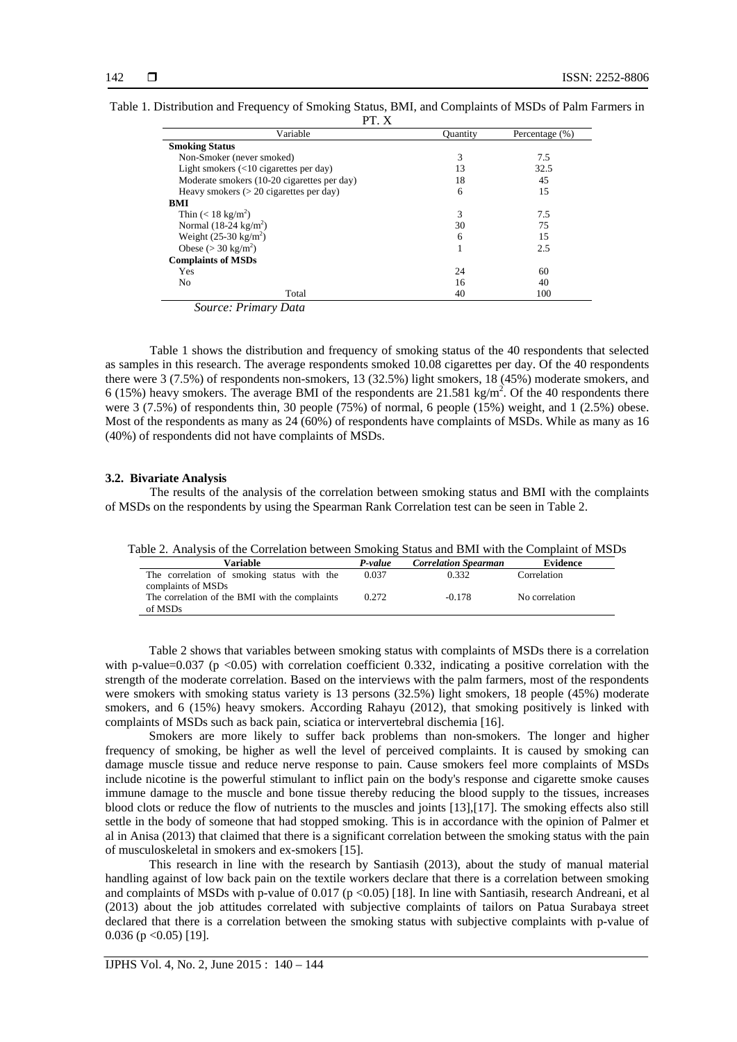| .                                                       |                 |                |
|---------------------------------------------------------|-----------------|----------------|
| Variable                                                | <b>Quantity</b> | Percentage (%) |
| <b>Smoking Status</b>                                   |                 |                |
| Non-Smoker (never smoked)                               | 3               | 7.5            |
| Light smokers $(\langle 10 \text{ eigenettes per day})$ | 13              | 32.5           |
| Moderate smokers (10-20 cigarettes per day)             | 18              | 45             |
| Heavy smokers $(> 20$ cigarettes per day)               | 6               | 15             |
| BMI                                                     |                 |                |
| Thin $(< 18 \text{ kg/m}^2)$                            | 3               | 7.5            |
| Normal $(18-24 \text{ kg/m}^2)$                         | 30              | 75             |
| Weight $(25-30 \text{ kg/m}^2)$                         | 6               | 15             |
| Obese ( $>$ 30 kg/m <sup>2</sup> )                      |                 | 2.5            |
| <b>Complaints of MSDs</b>                               |                 |                |
| Yes                                                     | 24              | 60             |
| N <sub>0</sub>                                          | 16              | 40             |
| Total                                                   | 40              | 100            |

| Table 1. Distribution and Frequency of Smoking Status, BMI, and Complaints of MSDs of Palm Farmers in |  |
|-------------------------------------------------------------------------------------------------------|--|
| DT V                                                                                                  |  |

 *Source: Primary Data* 

Table 1 shows the distribution and frequency of smoking status of the 40 respondents that selected as samples in this research. The average respondents smoked 10.08 cigarettes per day. Of the 40 respondents there were 3 (7.5%) of respondents non-smokers, 13 (32.5%) light smokers, 18 (45%) moderate smokers, and 6 (15%) heavy smokers. The average BMI of the respondents are  $21.581 \text{ kg/m}^2$ . Of the 40 respondents there were 3 (7.5%) of respondents thin, 30 people (75%) of normal, 6 people (15%) weight, and 1 (2.5%) obese. Most of the respondents as many as 24 (60%) of respondents have complaints of MSDs. While as many as 16 (40%) of respondents did not have complaints of MSDs.

#### **3.2. Bivariate Analysis**

The results of the analysis of the correlation between smoking status and BMI with the complaints of MSDs on the respondents by using the Spearman Rank Correlation test can be seen in Table 2.

|  | Table 2. Analysis of the Correlation between Smoking Status and BMI with the Complaint of MSDs |  |  |  |  |
|--|------------------------------------------------------------------------------------------------|--|--|--|--|
|  |                                                                                                |  |  |  |  |

| Variable                                       | P-value | <b>Correlation Spearman</b> | Evidence       |
|------------------------------------------------|---------|-----------------------------|----------------|
| The correlation of smoking status with the     | 0.037   | 0.332                       | Correlation    |
| complaints of MSDs                             |         |                             |                |
| The correlation of the BMI with the complaints | 0.272   | $-0.178$                    | No correlation |
| of MSDs                                        |         |                             |                |

Table 2 shows that variables between smoking status with complaints of MSDs there is a correlation with p-value=0.037 (p  $\lt 0.05$ ) with correlation coefficient 0.332, indicating a positive correlation with the strength of the moderate correlation. Based on the interviews with the palm farmers, most of the respondents were smokers with smoking status variety is 13 persons (32.5%) light smokers, 18 people (45%) moderate smokers, and 6 (15%) heavy smokers. According Rahayu (2012), that smoking positively is linked with complaints of MSDs such as back pain, sciatica or intervertebral dischemia [16].

Smokers are more likely to suffer back problems than non-smokers. The longer and higher frequency of smoking, be higher as well the level of perceived complaints. It is caused by smoking can damage muscle tissue and reduce nerve response to pain. Cause smokers feel more complaints of MSDs include nicotine is the powerful stimulant to inflict pain on the body's response and cigarette smoke causes immune damage to the muscle and bone tissue thereby reducing the blood supply to the tissues, increases blood clots or reduce the flow of nutrients to the muscles and joints [13],[17]. The smoking effects also still settle in the body of someone that had stopped smoking. This is in accordance with the opinion of Palmer et al in Anisa (2013) that claimed that there is a significant correlation between the smoking status with the pain of musculoskeletal in smokers and ex-smokers [15].

This research in line with the research by Santiasih (2013), about the study of manual material handling against of low back pain on the textile workers declare that there is a correlation between smoking and complaints of MSDs with p-value of 0.017 (p <0.05) [18]. In line with Santiasih, research Andreani, et al (2013) about the job attitudes correlated with subjective complaints of tailors on Patua Surabaya street declared that there is a correlation between the smoking status with subjective complaints with p-value of 0.036 ( $p < 0.05$ ) [19].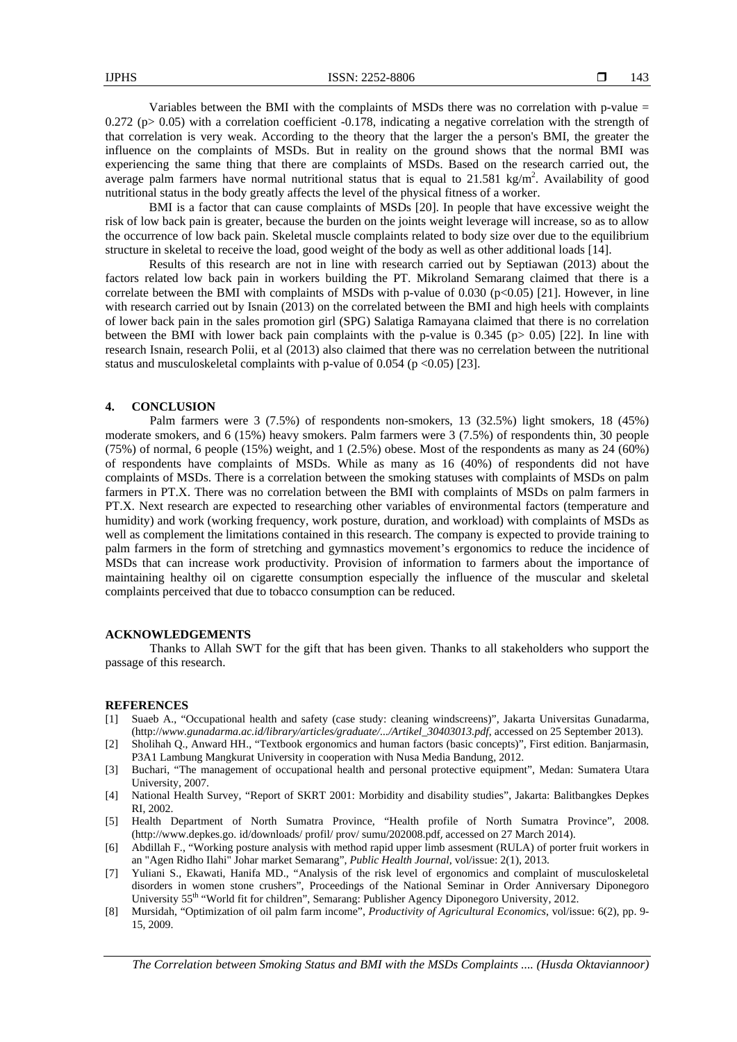Variables between the BMI with the complaints of MSDs there was no correlation with p-value = 0.272 (p $> 0.05$ ) with a correlation coefficient -0.178, indicating a negative correlation with the strength of that correlation is very weak. According to the theory that the larger the a person's BMI, the greater the influence on the complaints of MSDs. But in reality on the ground shows that the normal BMI was experiencing the same thing that there are complaints of MSDs. Based on the research carried out, the average palm farmers have normal nutritional status that is equal to  $21.581 \text{ kg/m}^2$ . Availability of good nutritional status in the body greatly affects the level of the physical fitness of a worker.

BMI is a factor that can cause complaints of MSDs [20]. In people that have excessive weight the risk of low back pain is greater, because the burden on the joints weight leverage will increase, so as to allow the occurrence of low back pain. Skeletal muscle complaints related to body size over due to the equilibrium structure in skeletal to receive the load, good weight of the body as well as other additional loads [14].

Results of this research are not in line with research carried out by Septiawan (2013) about the factors related low back pain in workers building the PT. Mikroland Semarang claimed that there is a correlate between the BMI with complaints of MSDs with p-value of  $0.030$  (p $<0.05$ ) [21]. However, in line with research carried out by Isnain (2013) on the correlated between the BMI and high heels with complaints of lower back pain in the sales promotion girl (SPG) Salatiga Ramayana claimed that there is no correlation between the BMI with lower back pain complaints with the p-value is 0.345 (p> 0.05) [22]. In line with research Isnain, research Polii, et al (2013) also claimed that there was no cerrelation between the nutritional status and musculoskeletal complaints with p-value of 0.054 (p  $\langle 0.05 \rangle$  [23].

#### **4. CONCLUSION**

Palm farmers were 3 (7.5%) of respondents non-smokers, 13 (32.5%) light smokers, 18 (45%) moderate smokers, and 6 (15%) heavy smokers. Palm farmers were 3 (7.5%) of respondents thin, 30 people (75%) of normal, 6 people (15%) weight, and 1 (2.5%) obese. Most of the respondents as many as 24 (60%) of respondents have complaints of MSDs. While as many as 16 (40%) of respondents did not have complaints of MSDs. There is a correlation between the smoking statuses with complaints of MSDs on palm farmers in PT.X. There was no correlation between the BMI with complaints of MSDs on palm farmers in PT.X. Next research are expected to researching other variables of environmental factors (temperature and humidity) and work (working frequency, work posture, duration, and workload) with complaints of MSDs as well as complement the limitations contained in this research. The company is expected to provide training to palm farmers in the form of stretching and gymnastics movement's ergonomics to reduce the incidence of MSDs that can increase work productivity. Provision of information to farmers about the importance of maintaining healthy oil on cigarette consumption especially the influence of the muscular and skeletal complaints perceived that due to tobacco consumption can be reduced.

#### **ACKNOWLEDGEMENTS**

Thanks to Allah SWT for the gift that has been given. Thanks to all stakeholders who support the passage of this research.

#### **REFERENCES**

- [1] Suaeb A., "Occupational health and safety (case study: cleaning windscreens)", Jakarta Universitas Gunadarma, (http://*www.gunadarma.ac.id/library/articles/graduate/.../Artikel\_30403013.pdf* , accessed on 25 September 2013).
- [2] Sholihah Q., Anward HH., "Textbook ergonomics and human factors (basic concepts)", First edition. Banjarmasin, P3A1 Lambung Mangkurat University in cooperation with Nusa Media Bandung, 2012.
- [3] Buchari, "The management of occupational health and personal protective equipment", Medan: Sumatera Utara University, 2007.
- [4] National Health Survey, "Report of SKRT 2001: Morbidity and disability studies", Jakarta: Balitbangkes Depkes RI, 2002.
- [5] Health Department of North Sumatra Province, "Health profile of North Sumatra Province", 2008. (http://www.depkes.go. id/downloads/ profil/ prov/ sumu/202008.pdf, accessed on 27 March 2014).
- [6] Abdillah F., "Working posture analysis with method rapid upper limb assesment (RULA) of porter fruit workers in an "Agen Ridho Ilahi" Johar market Semarang", *Public Health Journal*, vol/issue: 2(1), 2013.
- [7] Yuliani S., Ekawati, Hanifa MD., "Analysis of the risk level of ergonomics and complaint of musculoskeletal disorders in women stone crushers", Proceedings of the National Seminar in Order Anniversary Diponegoro University 55<sup>th</sup> "World fit for children", Semarang: Publisher Agency Diponegoro University, 2012.
- [8] Mursidah, "Optimization of oil palm farm income", *Productivity of Agricultural Economics*, vol/issue: 6(2), pp. 9- 15, 2009.